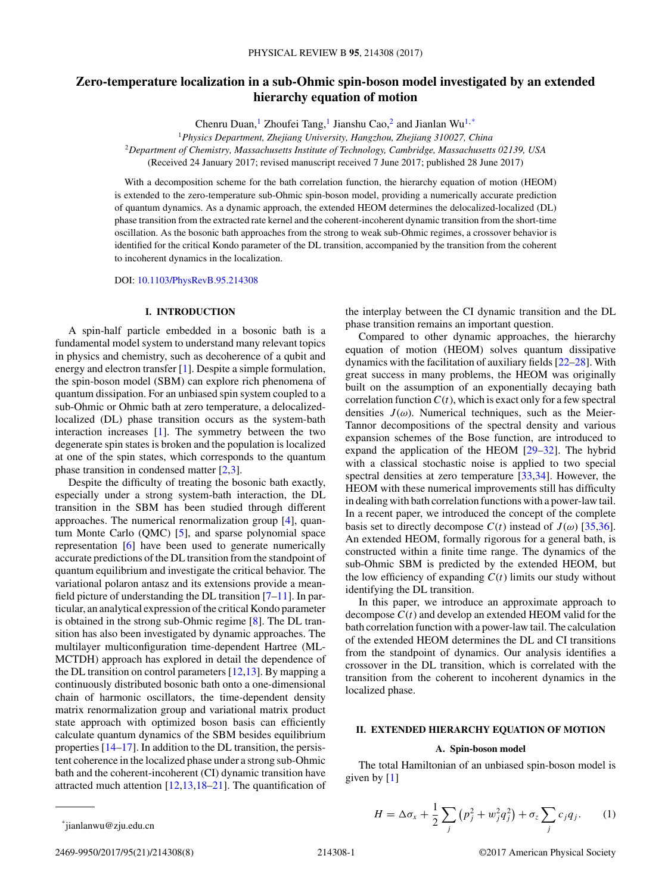# <span id="page-0-0"></span>**Zero-temperature localization in a sub-Ohmic spin-boson model investigated by an extended hierarchy equation of motion**

Chenru Duan,<sup>1</sup> Zhoufei Tang,<sup>1</sup> Jianshu Cao,<sup>2</sup> and Jianlan Wu<sup>1,\*</sup>

<sup>1</sup>*Physics Department, Zhejiang University, Hangzhou, Zhejiang 310027, China*

<sup>2</sup>*Department of Chemistry, Massachusetts Institute of Technology, Cambridge, Massachusetts 02139, USA*

(Received 24 January 2017; revised manuscript received 7 June 2017; published 28 June 2017)

With a decomposition scheme for the bath correlation function, the hierarchy equation of motion (HEOM) is extended to the zero-temperature sub-Ohmic spin-boson model, providing a numerically accurate prediction of quantum dynamics. As a dynamic approach, the extended HEOM determines the delocalized-localized (DL) phase transition from the extracted rate kernel and the coherent-incoherent dynamic transition from the short-time oscillation. As the bosonic bath approaches from the strong to weak sub-Ohmic regimes, a crossover behavior is identified for the critical Kondo parameter of the DL transition, accompanied by the transition from the coherent to incoherent dynamics in the localization.

DOI: [10.1103/PhysRevB.95.214308](https://doi.org/10.1103/PhysRevB.95.214308)

### **I. INTRODUCTION**

A spin-half particle embedded in a bosonic bath is a fundamental model system to understand many relevant topics in physics and chemistry, such as decoherence of a qubit and energy and electron transfer [\[1\]](#page-7-0). Despite a simple formulation, the spin-boson model (SBM) can explore rich phenomena of quantum dissipation. For an unbiased spin system coupled to a sub-Ohmic or Ohmic bath at zero temperature, a delocalizedlocalized (DL) phase transition occurs as the system-bath interaction increases [\[1\]](#page-7-0). The symmetry between the two degenerate spin states is broken and the population is localized at one of the spin states, which corresponds to the quantum phase transition in condensed matter [\[2,3\]](#page-7-0).

Despite the difficulty of treating the bosonic bath exactly, especially under a strong system-bath interaction, the DL transition in the SBM has been studied through different approaches. The numerical renormalization group [\[4\]](#page-7-0), quantum Monte Carlo (QMC) [\[5\]](#page-7-0), and sparse polynomial space representation [\[6\]](#page-7-0) have been used to generate numerically accurate predictions of the DL transition from the standpoint of quantum equilibrium and investigate the critical behavior. The variational polaron antasz and its extensions provide a meanfield picture of understanding the DL transition [\[7–11\]](#page-7-0). In particular, an analytical expression of the critical Kondo parameter is obtained in the strong sub-Ohmic regime [\[8\]](#page-7-0). The DL transition has also been investigated by dynamic approaches. The multilayer multiconfiguration time-dependent Hartree (ML-MCTDH) approach has explored in detail the dependence of the DL transition on control parameters  $[12,13]$ . By mapping a continuously distributed bosonic bath onto a one-dimensional chain of harmonic oscillators, the time-dependent density matrix renormalization group and variational matrix product state approach with optimized boson basis can efficiently calculate quantum dynamics of the SBM besides equilibrium properties [\[14–17\]](#page-7-0). In addition to the DL transition, the persistent coherence in the localized phase under a strong sub-Ohmic bath and the coherent-incoherent (CI) dynamic transition have attracted much attention [\[12,13,18–21\]](#page-7-0). The quantification of

the interplay between the CI dynamic transition and the DL phase transition remains an important question.

Compared to other dynamic approaches, the hierarchy equation of motion (HEOM) solves quantum dissipative dynamics with the facilitation of auxiliary fields [\[22–28\]](#page-7-0). With great success in many problems, the HEOM was originally built on the assumption of an exponentially decaying bath correlation function  $C(t)$ , which is exact only for a few spectral densities  $J(\omega)$ . Numerical techniques, such as the Meier-Tannor decompositions of the spectral density and various expansion schemes of the Bose function, are introduced to expand the application of the HEOM [\[29–32\]](#page-7-0). The hybrid with a classical stochastic noise is applied to two special spectral densities at zero temperature [\[33,34\]](#page-7-0). However, the HEOM with these numerical improvements still has difficulty in dealing with bath correlation functions with a power-law tail. In a recent paper, we introduced the concept of the complete basis set to directly decompose  $C(t)$  instead of  $J(\omega)$  [\[35,36\]](#page-7-0). An extended HEOM, formally rigorous for a general bath, is constructed within a finite time range. The dynamics of the sub-Ohmic SBM is predicted by the extended HEOM, but the low efficiency of expanding  $C(t)$  limits our study without identifying the DL transition.

In this paper, we introduce an approximate approach to decompose *C*(*t*) and develop an extended HEOM valid for the bath correlation function with a power-law tail. The calculation of the extended HEOM determines the DL and CI transitions from the standpoint of dynamics. Our analysis identifies a crossover in the DL transition, which is correlated with the transition from the coherent to incoherent dynamics in the localized phase.

# **II. EXTENDED HIERARCHY EQUATION OF MOTION**

# **A. Spin-boson model**

The total Hamiltonian of an unbiased spin-boson model is given by [\[1\]](#page-7-0)

$$
H = \Delta \sigma_x + \frac{1}{2} \sum_j \left( p_j^2 + w_j^2 q_j^2 \right) + \sigma_z \sum_j c_j q_j. \tag{1}
$$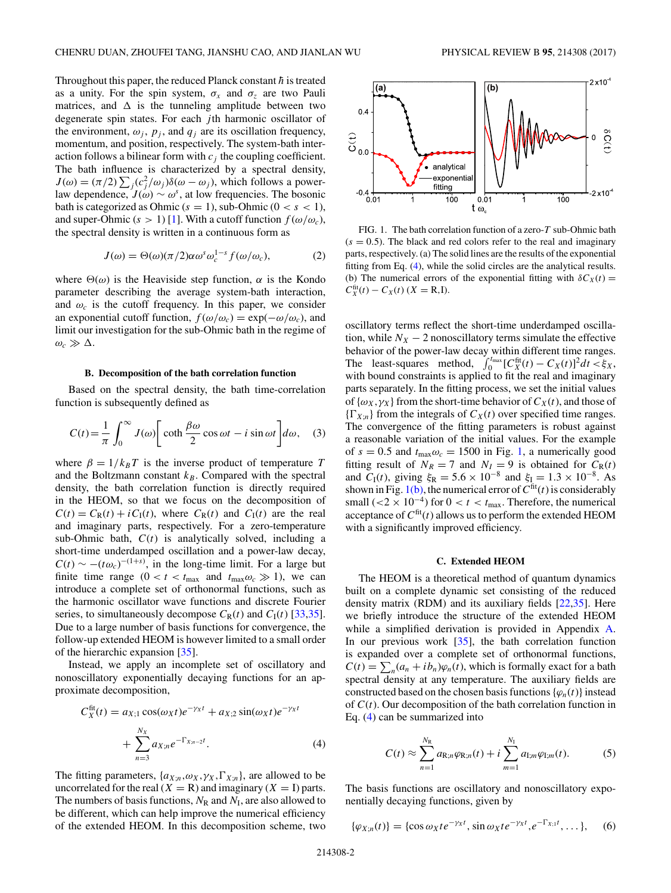<span id="page-1-0"></span>Throughout this paper, the reduced Planck constant  $\hbar$  is treated as a unity. For the spin system,  $\sigma_x$  and  $\sigma_z$  are two Pauli matrices, and  $\Delta$  is the tunneling amplitude between two degenerate spin states. For each *j* th harmonic oscillator of the environment,  $\omega_j$ ,  $p_j$ , and  $q_j$  are its oscillation frequency, momentum, and position, respectively. The system-bath interaction follows a bilinear form with  $c_j$  the coupling coefficient. The bath influence is characterized by a spectral density,  $J(\omega) = (\pi/2) \sum_j (c_j^2/\omega_j) \delta(\omega - \omega_j)$ , which follows a powerlaw dependence,  $J(\omega) \sim \omega^s$ , at low frequencies. The bosonic bath is categorized as Ohmic  $(s = 1)$ , sub-Ohmic  $(0 < s < 1)$ , and super-Ohmic  $(s > 1)$  [\[1\]](#page-7-0). With a cutoff function  $f(\omega/\omega_c)$ , the spectral density is written in a continuous form as

$$
J(\omega) = \Theta(\omega)(\pi/2)\alpha \omega^s \omega_c^{1-s} f(\omega/\omega_c), \tag{2}
$$

where  $\Theta(\omega)$  is the Heaviside step function,  $\alpha$  is the Kondo parameter describing the average system-bath interaction, and  $\omega_c$  is the cutoff frequency. In this paper, we consider an exponential cutoff function,  $f(\omega/\omega_c) = \exp(-\omega/\omega_c)$ , and limit our investigation for the sub-Ohmic bath in the regime of  $\omega_c \gg \Delta$ .

#### **B. Decomposition of the bath correlation function**

Based on the spectral density, the bath time-correlation function is subsequently defined as

$$
C(t) = \frac{1}{\pi} \int_0^\infty J(\omega) \left[ \coth \frac{\beta \omega}{2} \cos \omega t - i \sin \omega t \right] d\omega, \quad (3)
$$

where  $\beta = 1/k_B T$  is the inverse product of temperature *T* and the Boltzmann constant  $k_B$ . Compared with the spectral density, the bath correlation function is directly required in the HEOM, so that we focus on the decomposition of  $C(t) = C_R(t) + iC_I(t)$ , where  $C_R(t)$  and  $C_I(t)$  are the real and imaginary parts, respectively. For a zero-temperature sub-Ohmic bath,  $C(t)$  is analytically solved, including a short-time underdamped oscillation and a power-law decay,  $C(t) \sim -(t\omega_c)^{-(1+s)}$ , in the long-time limit. For a large but finite time range  $(0 < t < t_{\text{max}}$  and  $t_{\text{max}}\omega_c \gg 1)$ , we can introduce a complete set of orthonormal functions, such as the harmonic oscillator wave functions and discrete Fourier series, to simultaneously decompose  $C_R(t)$  and  $C_I(t)$  [\[33,35\]](#page-7-0). Due to a large number of basis functions for convergence, the follow-up extended HEOM is however limited to a small order of the hierarchic expansion [\[35\]](#page-7-0).

Instead, we apply an incomplete set of oscillatory and nonoscillatory exponentially decaying functions for an approximate decomposition,

$$
C_X^{\text{fit}}(t) = a_{X;1} \cos(\omega_X t) e^{-\gamma_X t} + a_{X;2} \sin(\omega_X t) e^{-\gamma_X t} + \sum_{n=3}^{N_X} a_{X;n} e^{-\Gamma_{X;n-2}t}.
$$
 (4)

The fitting parameters,  $\{a_{X;n}, \omega_X, \gamma_X, \Gamma_{X;n}\}$ , are allowed to be uncorrelated for the real  $(X = R)$  and imaginary  $(X = I)$  parts. The numbers of basis functions,  $N_R$  and  $N_I$ , are also allowed to be different, which can help improve the numerical efficiency of the extended HEOM. In this decomposition scheme, two





FIG. 1. The bath correlation function of a zero-*T* sub-Ohmic bath  $(s = 0.5)$ . The black and red colors refer to the real and imaginary parts, respectively. (a) The solid lines are the results of the exponential fitting from Eq. (4), while the solid circles are the analytical results. (b) The numerical errors of the exponential fitting with  $\delta C_X(t) =$  $C_X^{\text{fit}}(t) - C_X(t)$  (*X* = R*,I*).

oscillatory terms reflect the short-time underdamped oscillation, while  $N_X - 2$  nonoscillatory terms simulate the effective behavior of the power-law decay within different time ranges. The least-squares method,  $\int_0^{t_{\text{max}}} [C_X^{\text{fit}}(t) - C_X(t)]^2 dt < \xi_X$ , with bound constraints is applied to fit the real and imaginary parts separately. In the fitting process, we set the initial values of  $\{\omega_X, \gamma_X\}$  from the short-time behavior of  $C_X(t)$ , and those of  ${\{\Gamma_{X;n}\}}$  from the integrals of  $C_X(t)$  over specified time ranges. The convergence of the fitting parameters is robust against a reasonable variation of the initial values. For the example of  $s = 0.5$  and  $t_{\text{max}} \omega_c = 1500$  in Fig. 1, a numerically good fitting result of  $N_R = 7$  and  $N_I = 9$  is obtained for  $C_R(t)$ and *C*<sub>I</sub>(*t*), giving  $\xi_R = 5.6 \times 10^{-8}$  and  $\xi_I = 1.3 \times 10^{-8}$ . As shown in Fig.  $1(b)$ , the numerical error of  $C<sup>fit</sup>(t)$  is considerably small ( $\lt 2 \times 10^{-4}$ ) for  $0 \lt t \lt t_{\text{max}}$ . Therefore, the numerical acceptance of  $C<sup>fit</sup>(t)$  allows us to perform the extended HEOM with a significantly improved efficiency.

#### **C. Extended HEOM**

The HEOM is a theoretical method of quantum dynamics built on a complete dynamic set consisting of the reduced density matrix (RDM) and its auxiliary fields [\[22,35\]](#page-7-0). Here we briefly introduce the structure of the extended HEOM while a simplified derivation is provided in Appendix [A.](#page-5-0) In our previous work [\[35\]](#page-7-0), the bath correlation function is expanded over a complete set of orthonormal functions,  $C(t) = \sum_{n} (a_n + ib_n)\varphi_n(t)$ , which is formally exact for a bath spectral density at any temperature. The auxiliary fields are constructed based on the chosen basis functions  $\{\varphi_n(t)\}\$ instead of *C*(*t*). Our decomposition of the bath correlation function in Eq. (4) can be summarized into

$$
C(t) \approx \sum_{n=1}^{N_{\rm R}} a_{\rm R,n} \varphi_{\rm R,n}(t) + i \sum_{m=1}^{N_{\rm I}} a_{\rm I,m} \varphi_{\rm I,m}(t). \tag{5}
$$

The basis functions are oscillatory and nonoscillatory exponentially decaying functions, given by

$$
\{\varphi_{X;n}(t)\} = \{\cos \omega_X t e^{-\gamma_X t}, \sin \omega_X t e^{-\gamma_X t}, e^{-\Gamma_{X;1} t}, \dots\},\quad (6)
$$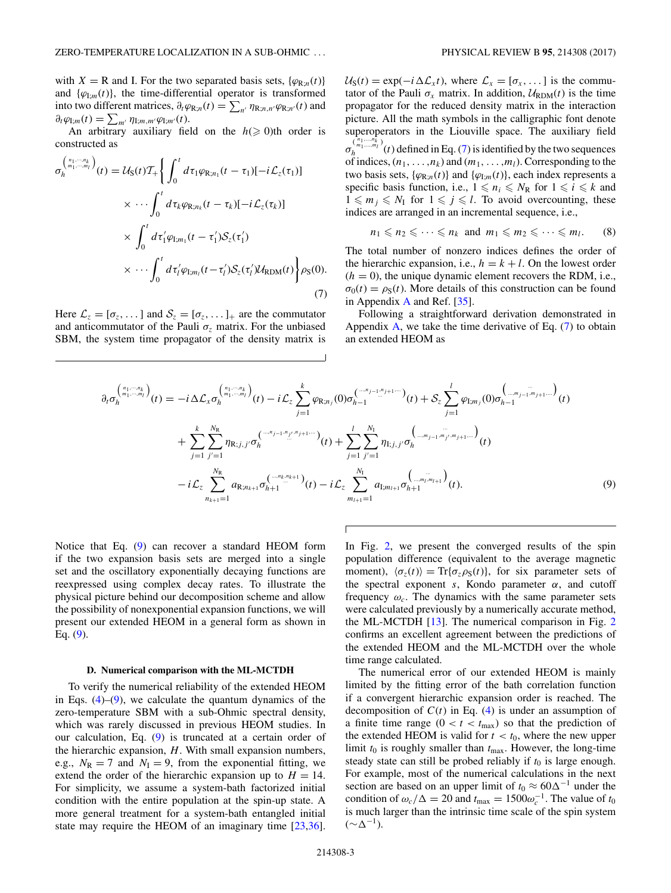<span id="page-2-0"></span>with *X* = R and I. For the two separated basis sets, { $\varphi_{R,n}(t)$ } and  $\{\varphi_{\text{I};m}(t)\}\$ , the time-differential operator is transformed into two different matrices,  $\partial_t \varphi_{R,n}(t) = \sum_{n'} \eta_{R;n,n'} \varphi_{R;n'}(t)$  and  $\partial_t \varphi_{\mathrm{I};m}(t) = \sum_{m'} \eta_{\mathrm{I};m,m'} \varphi_{\mathrm{I};m'}(t).$ 

An arbitrary auxiliary field on the  $h \geq 0$  th order is constructed as

$$
\sigma_h^{(n_1,\dots,n_k)}(t) = \mathcal{U}_{S}(t)\mathcal{T}_{+}\bigg\{\int_0^t d\tau_1 \varphi_{R;n_1}(t-\tau_1)[-i\mathcal{L}_z(\tau_1)]
$$
  

$$
\times \cdots \int_0^t d\tau_k \varphi_{R;n_k}(t-\tau_k)[-i\mathcal{L}_z(\tau_k)]
$$
  

$$
\times \int_0^t d\tau'_1 \varphi_{1;m_1}(t-\tau'_1)\mathcal{S}_z(\tau'_1)
$$
  

$$
\times \cdots \int_0^t d\tau'_l \varphi_{1;m_l}(t-\tau'_l)\mathcal{S}_z(\tau'_l)\mathcal{U}_{RDM}(t)\bigg\}\rho_{S}(0).
$$
  
(7)

Here  $\mathcal{L}_z = [\sigma_z, \dots]$  and  $\mathcal{S}_z = [\sigma_z, \dots]_+$  are the commutator and anticommutator of the Pauli  $\sigma$ <sub>z</sub> matrix. For the unbiased SBM, the system time propagator of the density matrix is  $U_S(t) = \exp(-i\Delta\mathcal{L}_x t)$ , where  $\mathcal{L}_x = [\sigma_x, \dots]$  is the commutator of the Pauli  $\sigma_x$  matrix. In addition,  $U_{\text{RDM}}(t)$  is the time propagator for the reduced density matrix in the interaction picture. All the math symbols in the calligraphic font denote superoperators in the Liouville space. The auxiliary field *σ*<sub>*n*</sub><sup> $(n_1,...,n_k)$ </sup> (*t*) defined in Eq. (7) is identified by the two sequences of indices,  $(n_1, \ldots, n_k)$  and  $(m_1, \ldots, m_l)$ . Corresponding to the two basis sets,  $\{\varphi_{R:n}(t)\}\$  and  $\{\varphi_{L:n}(t)\}\$ , each index represents a specific basis function, i.e.,  $1 \le n_i \le N_R$  for  $1 \le i \le k$  and  $1 \leq m_j \leq N_I$  for  $1 \leq j \leq l$ . To avoid overcounting, these indices are arranged in an incremental sequence, i.e.,

$$
n_1 \leqslant n_2 \leqslant \cdots \leqslant n_k \text{ and } m_1 \leqslant m_2 \leqslant \cdots \leqslant m_l. \qquad (8)
$$

The total number of nonzero indices defines the order of the hierarchic expansion, i.e.,  $h = k + l$ . On the lowest order  $(h = 0)$ , the unique dynamic element recovers the RDM, i.e.,  $\sigma_0(t) = \rho_S(t)$ . More details of this construction can be found in Appendix [A](#page-5-0) and Ref. [\[35\]](#page-7-0).

Following a straightforward derivation demonstrated in Appendix [A,](#page-5-0) we take the time derivative of Eq.  $(7)$  to obtain an extended HEOM as

$$
\partial_t \sigma_h^{(n_1, \dots, n_k)}(t) = -i \Delta \mathcal{L}_x \sigma_h^{(n_1, \dots, n_k)}(t) - i \mathcal{L}_z \sum_{j=1}^k \varphi_{R; n_j}(0) \sigma_{h-1}^{(-m_{j-1}, n_{j+1}, \dots, n_k)}(t) + \mathcal{S}_z \sum_{j=1}^l \varphi_{I; m_j}(0) \sigma_{h-1}^{(-m_{j-1}, m_{j+1}, \dots, n_k)}(t) + \sum_{j=1}^k \sum_{j'=1}^{N_R} \eta_{R; j, j'} \sigma_h^{(-m_{j-1}, n_{j'}, n_{j+1}, \dots, n_k)}(t) + \sum_{j=1}^l \sum_{j'=1}^{N_I} \eta_{I; j, j'} \sigma_h^{(-m_{j-1}, m_{j'}, m_{j+1}, \dots, n_k)}(t) - i \mathcal{L}_z \sum_{n_{k+1}=1}^{N_R} a_{R; n_{k+1}} \sigma_{h+1}^{(-m_{k}, n_{k+1})}(t) - i \mathcal{L}_z \sum_{m_{l+1}=1}^{N_I} a_{I; m_{l+1}} \sigma_{h+1}^{(-m_{l}, m_{l+1}, n_{l+1})}(t).
$$
\n(9)

 $\overline{1}$ 

Notice that Eq. (9) can recover a standard HEOM form if the two expansion basis sets are merged into a single set and the oscillatory exponentially decaying functions are reexpressed using complex decay rates. To illustrate the physical picture behind our decomposition scheme and allow the possibility of nonexponential expansion functions, we will present our extended HEOM in a general form as shown in Eq. (9).

#### **D. Numerical comparison with the ML-MCTDH**

To verify the numerical reliability of the extended HEOM in Eqs.  $(4)$ – $(9)$ , we calculate the quantum dynamics of the zero-temperature SBM with a sub-Ohmic spectral density, which was rarely discussed in previous HEOM studies. In our calculation, Eq. (9) is truncated at a certain order of the hierarchic expansion, *H*. With small expansion numbers, e.g.,  $N_R = 7$  and  $N_I = 9$ , from the exponential fitting, we extend the order of the hierarchic expansion up to  $H = 14$ . For simplicity, we assume a system-bath factorized initial condition with the entire population at the spin-up state. A more general treatment for a system-bath entangled initial state may require the HEOM of an imaginary time [\[23,36\]](#page-7-0).

In Fig. [2,](#page-3-0) we present the converged results of the spin population difference (equivalent to the average magnetic moment),  $\langle \sigma_z(t) \rangle = \text{Tr} \{\sigma_z \rho_S(t)\},$  for six parameter sets of the spectral exponent *s*, Kondo parameter *α*, and cutoff frequency  $\omega_c$ . The dynamics with the same parameter sets were calculated previously by a numerically accurate method, the ML-MCTDH [\[13\]](#page-7-0). The numerical comparison in Fig. [2](#page-3-0) confirms an excellent agreement between the predictions of the extended HEOM and the ML-MCTDH over the whole time range calculated.

The numerical error of our extended HEOM is mainly limited by the fitting error of the bath correlation function if a convergent hierarchic expansion order is reached. The decomposition of  $C(t)$  in Eq. [\(4\)](#page-1-0) is under an assumption of a finite time range  $(0 < t < t<sub>max</sub>)$  so that the prediction of the extended HEOM is valid for  $t < t_0$ , where the new upper limit  $t_0$  is roughly smaller than  $t_{\text{max}}$ . However, the long-time steady state can still be probed reliably if  $t_0$  is large enough. For example, most of the numerical calculations in the next section are based on an upper limit of  $t_0 \approx 60\Delta^{-1}$  under the condition of  $\omega_c/\Delta = 20$  and  $t_{\text{max}} = 1500\omega_c^{-1}$ . The value of  $t_0$ is much larger than the intrinsic time scale of the spin system  $({\sim}\Delta^{-1}).$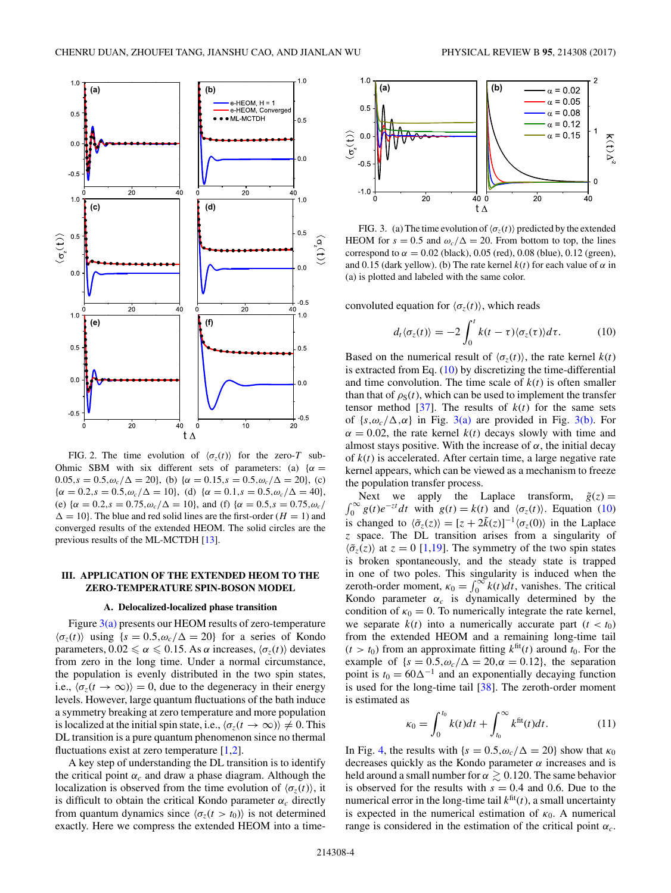<span id="page-3-0"></span>

FIG. 2. The time evolution of  $\langle \sigma_z(t) \rangle$  for the zero-*T* sub-Ohmic SBM with six different sets of parameters: (a)  $\{\alpha =$  $0.05$ *,s* =  $0.5$ *,ω<sub>c</sub>*/ $\Delta$  = 20}, (b) { $\alpha$  =  $0.15$ *,s* =  $0.5$ *,ω<sub>c</sub>*/ $\Delta$  = 20}, (c)  ${\alpha = 0.2, s = 0.5, \omega_c/\Delta = 10}$ , (d)  ${\alpha = 0.1, s = 0.5, \omega_c/\Delta = 40}$ , (e)  $\{\alpha = 0.2, s = 0.75, \omega_c/\Delta = 10\}$ , and (f)  $\{\alpha = 0.5, s = 0.75, \omega_c/\Delta = 10\}$  $\Delta = 10$ . The blue and red solid lines are the first-order (*H* = 1) and converged results of the extended HEOM. The solid circles are the previous results of the ML-MCTDH [\[13\]](#page-7-0).

# **III. APPLICATION OF THE EXTENDED HEOM TO THE ZERO-TEMPERATURE SPIN-BOSON MODEL**

#### **A. Delocalized-localized phase transition**

Figure 3(a) presents our HEOM results of zero-temperature  $\langle \sigma_z(t) \rangle$  using  $\{s = 0.5, \omega_c/\Delta = 20\}$  for a series of Kondo parameters,  $0.02 \le \alpha \le 0.15$ . As  $\alpha$  increases,  $\langle \sigma_z(t) \rangle$  deviates from zero in the long time. Under a normal circumstance, the population is evenly distributed in the two spin states, i.e.,  $\langle \sigma_z(t \to \infty) \rangle = 0$ , due to the degeneracy in their energy levels. However, large quantum fluctuations of the bath induce a symmetry breaking at zero temperature and more population is localized at the initial spin state, i.e.,  $\langle \sigma_z(t \to \infty) \rangle \neq 0$ . This DL transition is a pure quantum phenomenon since no thermal fluctuations exist at zero temperature  $[1,2]$ .

A key step of understanding the DL transition is to identify the critical point  $\alpha_c$  and draw a phase diagram. Although the localization is observed from the time evolution of  $\langle \sigma_z(t) \rangle$ , it is difficult to obtain the critical Kondo parameter  $\alpha_c$  directly from quantum dynamics since  $\langle \sigma_z(t \rangle t_0) \rangle$  is not determined exactly. Here we compress the extended HEOM into a time-



FIG. 3. (a) The time evolution of  $\langle \sigma_z(t) \rangle$  predicted by the extended HEOM for  $s = 0.5$  and  $\omega_c/\Delta = 20$ . From bottom to top, the lines correspond to  $\alpha = 0.02$  (black), 0.05 (red), 0.08 (blue), 0.12 (green), and 0.15 (dark yellow). (b) The rate kernel  $k(t)$  for each value of  $\alpha$  in (a) is plotted and labeled with the same color.

convoluted equation for  $\langle \sigma_z(t) \rangle$ , which reads

$$
d_t \langle \sigma_z(t) \rangle = -2 \int_0^t k(t - \tau) \langle \sigma_z(\tau) \rangle d\tau.
$$
 (10)

Based on the numerical result of  $\langle \sigma_z(t) \rangle$ , the rate kernel  $k(t)$ is extracted from Eq.  $(10)$  by discretizing the time-differential and time convolution. The time scale of  $k(t)$  is often smaller than that of  $\rho_S(t)$ , which can be used to implement the transfer tensor method [\[37\]](#page-7-0). The results of  $k(t)$  for the same sets of  $\{s, \omega_c/\Delta, \alpha\}$  in Fig. 3(a) are provided in Fig. 3(b). For  $\alpha = 0.02$ , the rate kernel  $k(t)$  decays slowly with time and almost stays positive. With the increase of  $\alpha$ , the initial decay of *k*(*t*) is accelerated. After certain time, a large negative rate kernel appears, which can be viewed as a mechanism to freeze the population transfer process.

 $\int_0^\infty g(t)e^{-zt}dt$  with  $g(t) = k(t)$  and  $\langle \sigma_z(t) \rangle$ . Equation (10) Next we apply the Laplace transform,  $\tilde{g}(z) =$ is changed to  $\langle \tilde{\sigma}_z(z) \rangle = [z + 2\tilde{k}(z)]^{-1} \langle \sigma_z(0) \rangle$  in the Laplace *z* space. The DL transition arises from a singularity of  $\langle \tilde{\sigma}_z(z) \rangle$  at  $z = 0$  [\[1,19\]](#page-7-0). The symmetry of the two spin states is broken spontaneously, and the steady state is trapped in one of two poles. This singularity is induced when the zeroth-order moment,  $\kappa_0 = \int_0^\infty k(t) dt$ , vanishes. The critical Kondo parameter  $\alpha_c$  is dynamically determined by the condition of  $\kappa_0 = 0$ . To numerically integrate the rate kernel, we separate  $k(t)$  into a numerically accurate part  $(t < t_0)$ from the extended HEOM and a remaining long-time tail  $(t > t_0)$  from an approximate fitting  $k^{\text{fit}}(t)$  around  $t_0$ . For the example of  ${s = 0.5, \omega_c/\Delta = 20, \alpha = 0.12}$ , the separation point is  $t_0 = 60\Delta^{-1}$  and an exponentially decaying function is used for the long-time tail [\[38\]](#page-7-0). The zeroth-order moment is estimated as

$$
\kappa_0 = \int_0^{t_0} k(t)dt + \int_{t_0}^{\infty} k^{\text{fit}}(t)dt.
$$
 (11)

In Fig. [4,](#page-4-0) the results with  ${s = 0.5, \omega_c/\Delta = 20}$  show that  $\kappa_0$ decreases quickly as the Kondo parameter  $\alpha$  increases and is held around a small number for  $\alpha \gtrsim 0.120$ . The same behavior is observed for the results with  $s = 0.4$  and 0.6. Due to the numerical error in the long-time tail  $k<sup>fit</sup>(t)$ , a small uncertainty is expected in the numerical estimation of  $\kappa_0$ . A numerical range is considered in the estimation of the critical point  $\alpha_c$ .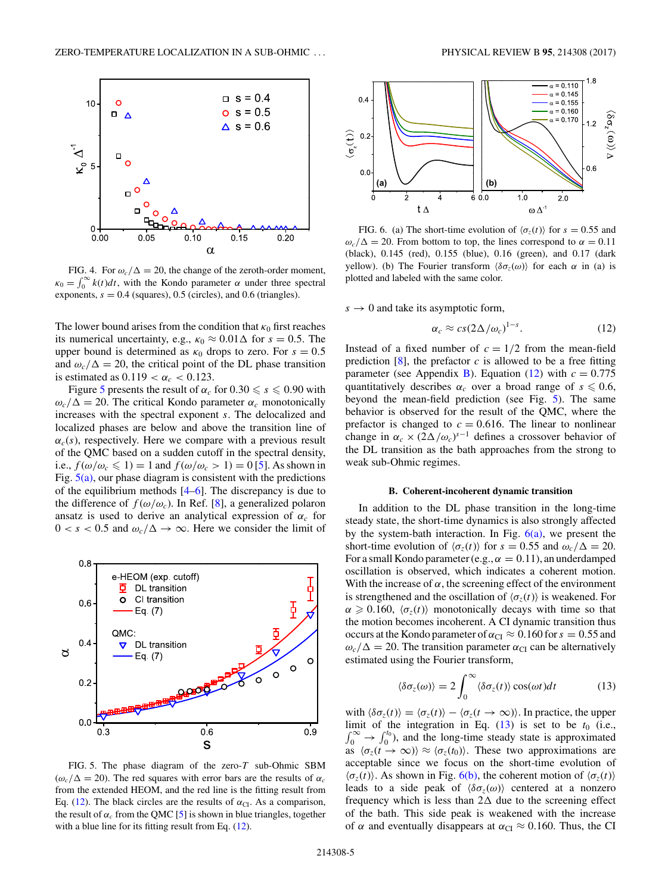<span id="page-4-0"></span>

FIG. 4. For  $\omega_c/\Delta = 20$ , the change of the zeroth-order moment,  $\kappa_0 = \int_0^\infty k(t) dt$ , with the Kondo parameter *α* under three spectral exponents,  $s = 0.4$  (squares), 0.5 (circles), and 0.6 (triangles).

The lower bound arises from the condition that  $\kappa_0$  first reaches its numerical uncertainty, e.g.,  $\kappa_0 \approx 0.01 \Delta$  for  $s = 0.5$ . The upper bound is determined as  $\kappa_0$  drops to zero. For  $s = 0.5$ and  $\omega_c/\Delta = 20$ , the critical point of the DL phase transition is estimated as  $0.119 < \alpha_c < 0.123$ .

Figure 5 presents the result of  $\alpha_c$  for  $0.30 \le s \le 0.90$  with  $\omega_c/\Delta = 20$ . The critical Kondo parameter  $\alpha_c$  monotonically increases with the spectral exponent *s*. The delocalized and localized phases are below and above the transition line of  $\alpha_c(s)$ , respectively. Here we compare with a previous result of the QMC based on a sudden cutoff in the spectral density, i.e.,  $f(\omega/\omega_c \leq 1) = 1$  and  $f(\omega/\omega_c > 1) = 0$  [\[5\]](#page-7-0). As shown in Fig.  $5(a)$ , our phase diagram is consistent with the predictions of the equilibrium methods  $[4–6]$ . The discrepancy is due to the difference of  $f(\omega/\omega_c)$ . In Ref. [\[8\]](#page-7-0), a generalized polaron ansatz is used to derive an analytical expression of  $\alpha_c$  for  $0 < s < 0.5$  and  $\omega_c/\Delta \rightarrow \infty$ . Here we consider the limit of



FIG. 5. The phase diagram of the zero-*T* sub-Ohmic SBM  $(\omega_c/\Delta = 20)$ . The red squares with error bars are the results of  $\alpha_c$ from the extended HEOM, and the red line is the fitting result from Eq. (12). The black circles are the results of  $\alpha_{CI}$ . As a comparison, the result of  $\alpha_c$  from the QMC [\[5\]](#page-7-0) is shown in blue triangles, together with a blue line for its fitting result from Eq. (12).



FIG. 6. (a) The short-time evolution of  $\langle \sigma_z(t) \rangle$  for  $s = 0.55$  and  $\omega_c/\Delta = 20$ . From bottom to top, the lines correspond to  $\alpha = 0.11$ (black), 0.145 (red), 0.155 (blue), 0.16 (green), and 0.17 (dark yellow). (b) The Fourier transform  $\langle \delta \sigma_z(\omega) \rangle$  for each *α* in (a) is plotted and labeled with the same color.

 $s \to 0$  and take its asymptotic form,

$$
\alpha_c \approx cs(2\Delta/\omega_c)^{1-s}.\tag{12}
$$

Instead of a fixed number of  $c = 1/2$  from the mean-field prediction  $[8]$ , the prefactor  $c$  is allowed to be a free fitting parameter (see Appendix [B\)](#page-7-0). Equation (12) with  $c = 0.775$ quantitatively describes  $\alpha_c$  over a broad range of  $s \leq 0.6$ , beyond the mean-field prediction (see Fig. 5). The same behavior is observed for the result of the QMC, where the prefactor is changed to  $c = 0.616$ . The linear to nonlinear change in  $\alpha_c \times (2\Delta/\omega_c)^{s-1}$  defines a crossover behavior of the DL transition as the bath approaches from the strong to weak sub-Ohmic regimes.

# **B. Coherent-incoherent dynamic transition**

In addition to the DL phase transition in the long-time steady state, the short-time dynamics is also strongly affected by the system-bath interaction. In Fig.  $6(a)$ , we present the short-time evolution of  $\langle \sigma_z(t) \rangle$  for  $s = 0.55$  and  $\omega_c/\Delta = 20$ . For a small Kondo parameter (e.g.,  $\alpha = 0.11$ ), an underdamped oscillation is observed, which indicates a coherent motion. With the increase of  $\alpha$ , the screening effect of the environment is strengthened and the oscillation of  $\langle \sigma_z(t) \rangle$  is weakened. For  $\alpha \geq 0.160$ ,  $\langle \sigma_z(t) \rangle$  monotonically decays with time so that the motion becomes incoherent. A CI dynamic transition thus occurs at the Kondo parameter of  $\alpha_{CI} \approx 0.160$  for  $s = 0.55$  and  $\omega_c/\Delta = 20$ . The transition parameter  $\alpha_{CI}$  can be alternatively estimated using the Fourier transform,

$$
\langle \delta \sigma_z(\omega) \rangle = 2 \int_0^\infty \langle \delta \sigma_z(t) \rangle \cos(\omega t) dt \tag{13}
$$

with  $\langle \delta \sigma_z(t) \rangle = \langle \sigma_z(t) \rangle - \langle \sigma_z(t \to \infty) \rangle$ . In practice, the upper limit of the integration in Eq.  $(13)$  is set to be  $t_0$  (i.e.,  $\int_0^\infty \rightarrow \int_0^{t_0}$ , and the long-time steady state is approximated as  $\langle \sigma_z(t \rightarrow \infty) \rangle \approx \langle \sigma_z(t_0) \rangle$ . These two approximations are acceptable since we focus on the short-time evolution of  $\langle \sigma_z(t) \rangle$ . As shown in Fig. 6(b), the coherent motion of  $\langle \sigma_z(t) \rangle$ leads to a side peak of  $\langle \delta \sigma_z(\omega) \rangle$  centered at a nonzero frequency which is less than  $2\Delta$  due to the screening effect of the bath. This side peak is weakened with the increase of  $\alpha$  and eventually disappears at  $\alpha_{CI} \approx 0.160$ . Thus, the CI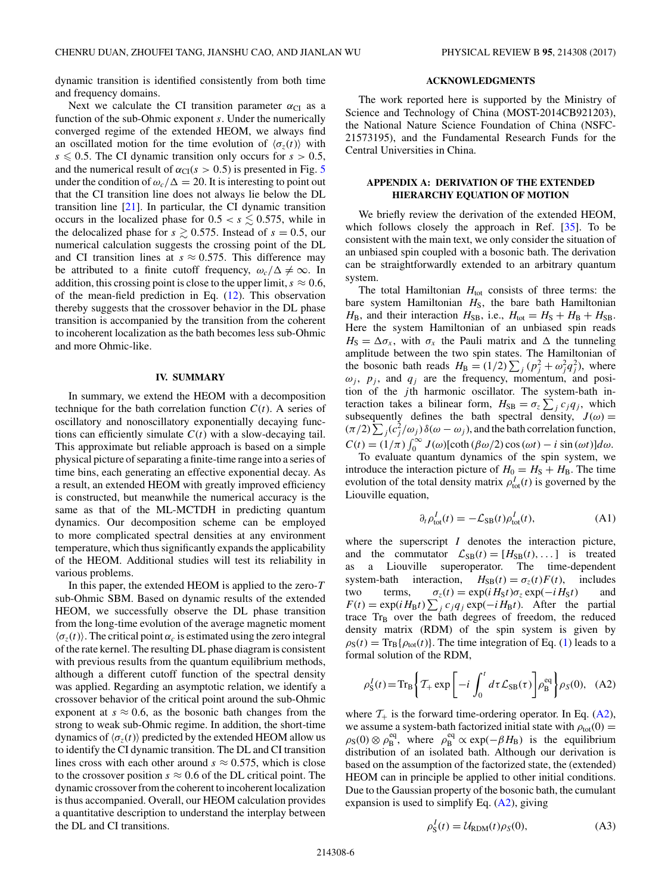<span id="page-5-0"></span>dynamic transition is identified consistently from both time and frequency domains.

Next we calculate the CI transition parameter  $\alpha_{CI}$  as a function of the sub-Ohmic exponent *s*. Under the numerically converged regime of the extended HEOM, we always find an oscillated motion for the time evolution of  $\langle \sigma_z(t) \rangle$  with  $s \leq 0.5$ . The CI dynamic transition only occurs for  $s > 0.5$ , and the numerical result of  $\alpha_{CI}(s > 0.5)$  $\alpha_{CI}(s > 0.5)$  $\alpha_{CI}(s > 0.5)$  is presented in Fig. 5 under the condition of  $\omega_c/\Delta = 20$ . It is interesting to point out that the CI transition line does not always lie below the DL transition line [\[21\]](#page-7-0). In particular, the CI dynamic transition occurs in the localized phase for  $0.5 < s \leq 0.575$ , while in the delocalized phase for  $s \ge 0.575$ . Instead of  $s = 0.5$ , our numerical calculation suggests the crossing point of the DL and CI transition lines at  $s \approx 0.575$ . This difference may be attributed to a finite cutoff frequency,  $\omega_c/\Delta \neq \infty$ . In addition, this crossing point is close to the upper limit,  $s \approx 0.6$ , of the mean-field prediction in Eq. [\(12\)](#page-4-0). This observation thereby suggests that the crossover behavior in the DL phase transition is accompanied by the transition from the coherent to incoherent localization as the bath becomes less sub-Ohmic and more Ohmic-like.

### **IV. SUMMARY**

In summary, we extend the HEOM with a decomposition technique for the bath correlation function  $C(t)$ . A series of oscillatory and nonoscillatory exponentially decaying functions can efficiently simulate  $C(t)$  with a slow-decaying tail. This approximate but reliable approach is based on a simple physical picture of separating a finite-time range into a series of time bins, each generating an effective exponential decay. As a result, an extended HEOM with greatly improved efficiency is constructed, but meanwhile the numerical accuracy is the same as that of the ML-MCTDH in predicting quantum dynamics. Our decomposition scheme can be employed to more complicated spectral densities at any environment temperature, which thus significantly expands the applicability of the HEOM. Additional studies will test its reliability in various problems.

In this paper, the extended HEOM is applied to the zero-*T* sub-Ohmic SBM. Based on dynamic results of the extended HEOM, we successfully observe the DL phase transition from the long-time evolution of the average magnetic moment  $\langle \sigma_z(t) \rangle$ . The critical point  $\alpha_c$  is estimated using the zero integral of the rate kernel. The resulting DL phase diagram is consistent with previous results from the quantum equilibrium methods, although a different cutoff function of the spectral density was applied. Regarding an asymptotic relation, we identify a crossover behavior of the critical point around the sub-Ohmic exponent at  $s \approx 0.6$ , as the bosonic bath changes from the strong to weak sub-Ohmic regime. In addition, the short-time dynamics of  $\langle \sigma_z(t) \rangle$  predicted by the extended HEOM allow us to identify the CI dynamic transition. The DL and CI transition lines cross with each other around  $s \approx 0.575$ , which is close to the crossover position  $s \approx 0.6$  of the DL critical point. The dynamic crossover from the coherent to incoherent localization is thus accompanied. Overall, our HEOM calculation provides a quantitative description to understand the interplay between the DL and CI transitions.

### **ACKNOWLEDGMENTS**

The work reported here is supported by the Ministry of Science and Technology of China (MOST-2014CB921203), the National Nature Science Foundation of China (NSFC-21573195), and the Fundamental Research Funds for the Central Universities in China.

# **APPENDIX A: DERIVATION OF THE EXTENDED HIERARCHY EQUATION OF MOTION**

We briefly review the derivation of the extended HEOM, which follows closely the approach in Ref. [\[35\]](#page-7-0). To be consistent with the main text, we only consider the situation of an unbiased spin coupled with a bosonic bath. The derivation can be straightforwardly extended to an arbitrary quantum system.

The total Hamiltonian  $H_{\text{tot}}$  consists of three terms: the bare system Hamiltonian  $H<sub>S</sub>$ , the bare bath Hamiltonian  $H_B$ , and their interaction  $H_{SB}$ , i.e.,  $H_{tot} = H_S + H_B + H_{SB}$ . Here the system Hamiltonian of an unbiased spin reads  $H_S = \Delta \sigma_x$ , with  $\sigma_x$  the Pauli matrix and  $\Delta$  the tunneling amplitude between the two spin states. The Hamiltonian of the bosonic bath reads  $H_B = (1/2) \sum_j (p_j^2 + \omega_j^2 q_j^2)$ , where  $\omega_j$ ,  $p_j$ , and  $q_j$  are the frequency, momentum, and position of the *j* th harmonic oscillator. The system-bath interaction takes a bilinear form,  $H_{SB} = \sigma_z \sum_j c_j q_j$ , which subsequently defines the bath spectral density,  $J(\omega)$  =  $(\pi/2) \sum_j (c_j^2/\omega_j) \delta(\omega - \omega_j)$ , and the bath correlation function,  $C(t) = (1/\pi) \int_0^\infty J(\omega) [\coth(\beta \omega/2) \cos(\omega t) - i \sin(\omega t)] d\omega.$ 

To evaluate quantum dynamics of the spin system, we introduce the interaction picture of  $H_0 = H<sub>S</sub> + H<sub>B</sub>$ . The time evolution of the total density matrix  $\rho_{tot}^I(t)$  is governed by the Liouville equation,

$$
\partial_t \rho_{\text{tot}}^I(t) = -\mathcal{L}_{\text{SB}}(t)\rho_{\text{tot}}^I(t),\tag{A1}
$$

where the superscript *I* denotes the interaction picture, and the commutator  $\mathcal{L}_{SB}(t) = [H_{SB}(t), \dots]$  is treated as a Liouville superoperator. The time-dependent system-bath interaction,  $H_{SB}(t) = \sigma_z(t)F(t)$ , includes two terms,  $\sigma_z(t) = \exp(iH_St)\sigma_z \exp(-iH_St)$  and  $F(t) = \exp(iH_B t) \sum_j c_j q_j \exp(-iH_B t)$ . After the partial trace Tr<sub>B</sub> over the bath degrees of freedom, the reduced density matrix (RDM) of the spin system is given by  $\rho_S(t) = Tr_B\{\rho_{tot}(t)\}\)$ . The time integration of Eq. [\(1\)](#page-0-0) leads to a formal solution of the RDM,

$$
\rho_S^I(t) = \text{Tr}_B \left\{ T_+ \exp \left[ -i \int_0^t d\tau \mathcal{L}_{SB}(\tau) \right] \rho_B^{\text{eq}} \right\} \rho_S(0), \quad (A2)
$$

where  $\mathcal{T}_+$  is the forward time-ordering operator. In Eq. (A2), we assume a system-bath factorized initial state with  $\rho_{\text{tot}}(0) =$  $\rho_S(0) \otimes \rho_B^{\text{eq}}$ , where  $\rho_B^{\text{eq}} \propto \exp(-\beta H_B)$  is the equilibrium distribution of an isolated bath. Although our derivation is based on the assumption of the factorized state, the (extended) HEOM can in principle be applied to other initial conditions. Due to the Gaussian property of the bosonic bath, the cumulant expansion is used to simplify Eq. (A2), giving

$$
\rho_S^I(t) = \mathcal{U}_{\text{RDM}}(t)\rho_S(0),\tag{A3}
$$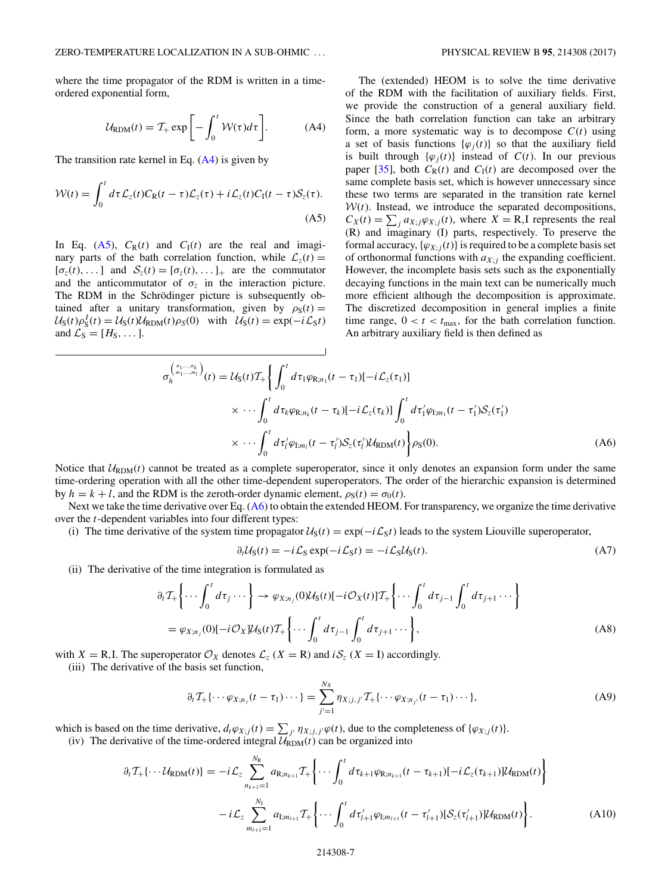<span id="page-6-0"></span>where the time propagator of the RDM is written in a timeordered exponential form,

$$
U_{\text{RDM}}(t) = T_{+} \exp\left[-\int_{0}^{t} \mathcal{W}(\tau)d\tau\right].
$$
 (A4)

The transition rate kernel in Eq. (A4) is given by

$$
\mathcal{W}(t) = \int_0^t d\tau \mathcal{L}_z(t) C_{\rm R}(t-\tau) \mathcal{L}_z(\tau) + i \mathcal{L}_z(t) C_{\rm I}(t-\tau) \mathcal{S}_z(\tau).
$$
\n(A5)

In Eq.  $(A5)$ ,  $C_R(t)$  and  $C_I(t)$  are the real and imaginary parts of the bath correlation function, while  $\mathcal{L}_z(t) =$  $[\sigma_z(t), \dots]$  and  $S_z(t) = [\sigma_z(t), \dots]_+$  are the commutator and the anticommutator of  $\sigma_z$  in the interaction picture. The RDM in the Schrödinger picture is subsequently obtained after a unitary transformation, given by  $\rho_S(t) =$  $U_S(t)\rho_S^I(t) = U_S(t)U_{RDM}(t)\rho_S(0)$  with  $U_S(t) = \exp(-i\mathcal{L}_S t)$ and  $\mathcal{L}_S = [H_S, \dots]$ .

The (extended) HEOM is to solve the time derivative of the RDM with the facilitation of auxiliary fields. First, we provide the construction of a general auxiliary field. Since the bath correlation function can take an arbitrary form, a more systematic way is to decompose  $C(t)$  using a set of basis functions  $\{\varphi_i(t)\}\$  so that the auxiliary field is built through  $\{\varphi_i(t)\}$  instead of  $C(t)$ . In our previous paper [\[35\]](#page-7-0), both  $C_R(t)$  and  $C_I(t)$  are decomposed over the same complete basis set, which is however unnecessary since these two terms are separated in the transition rate kernel  $W(t)$ . Instead, we introduce the separated decompositions,  $C_X(t) = \sum_j a_{X;j} \varphi_{X;j}(t)$ , where  $X = \mathbb{R}$ , I represents the real (R) and imaginary (I) parts, respectively. To preserve the formal accuracy,  $\{\varphi_{X;j}(t)\}\$ is required to be a complete basis set of orthonormal functions with  $a_{X;i}$  the expanding coefficient. However, the incomplete basis sets such as the exponentially decaying functions in the main text can be numerically much more efficient although the decomposition is approximate. The discretized decomposition in general implies a finite time range,  $0 < t < t_{\text{max}}$ , for the bath correlation function. An arbitrary auxiliary field is then defined as

$$
\sigma_h^{(n_1,\dots,n_l)}(t) = \mathcal{U}_{S}(t)\mathcal{T}_{+}\left\{\int_0^t d\tau_1 \varphi_{R;n_1}(t-\tau_1)[-i\mathcal{L}_z(\tau_1)]\right\}
$$

$$
\times \cdots \int_0^t d\tau_k \varphi_{R;n_k}(t-\tau_k)[-i\mathcal{L}_z(\tau_k)]\int_0^t d\tau'_1 \varphi_{I;m_1}(t-\tau'_1)S_z(\tau'_1)
$$

$$
\times \cdots \int_0^t d\tau'_i \varphi_{I;m_i}(t-\tau'_i)S_z(\tau'_i)\mathcal{U}_{RDM}(t)\right\}\rho_S(0). \tag{A6}
$$

Notice that  $U_{\text{RDM}}(t)$  cannot be treated as a complete superoperator, since it only denotes an expansion form under the same time-ordering operation with all the other time-dependent superoperators. The order of the hierarchic expansion is determined by  $h = k + l$ , and the RDM is the zeroth-order dynamic element,  $\rho_S(t) = \sigma_0(t)$ .

Next we take the time derivative over Eq. (A6) to obtain the extended HEOM. For transparency, we organize the time derivative over the *t*-dependent variables into four different types:

(i) The time derivative of the system time propagator  $U_S(t) = \exp(-i\mathcal{L}_S t)$  leads to the system Liouville superoperator,

$$
\partial_t \mathcal{U}_S(t) = -i \mathcal{L}_S \exp(-i \mathcal{L}_S t) = -i \mathcal{L}_S \mathcal{U}_S(t). \tag{A7}
$$

(ii) The derivative of the time integration is formulated as

$$
\partial_t \mathcal{T}_+ \left\{ \cdots \int_0^t d\tau_j \cdots \right\} \to \varphi_{X; n_j}(0) \mathcal{U}_S(t) [-i \mathcal{O}_X(t)] \mathcal{T}_+ \left\{ \cdots \int_0^t d\tau_{j-1} \int_0^t d\tau_{j+1} \cdots \right\}
$$
  
=  $\varphi_{X; n_j}(0) [-i \mathcal{O}_X] \mathcal{U}_S(t) \mathcal{T}_+ \left\{ \cdots \int_0^t d\tau_{j-1} \int_0^t d\tau_{j+1} \cdots \right\},$  (A8)

with *X* = R, I. The superoperator  $\mathcal{O}_X$  denotes  $\mathcal{L}_z$  (*X* = R) and *i* $\mathcal{S}_z$  (*X* = I) accordingly.

(iii) The derivative of the basis set function,

$$
\partial_t T_+ \{ \cdots \varphi_{X; n_j} (t - \tau_1) \cdots \} = \sum_{j'=1}^{N_X} \eta_{X; j, j'} T_+ \{ \cdots \varphi_{X; n_{j'}} (t - \tau_1) \cdots \},
$$
\n(A9)

which is based on the time derivative,  $d_t \varphi_{X;j}(t) = \sum_{j'} \eta_{X;j,j'} \varphi(t)$ , due to the completeness of  $\{\varphi_{X;j}(t)\}.$ 

(iv) The derivative of the time-ordered integral  $\mathcal{U}_{\text{RDM}}(t)$  can be organized into

$$
\partial_t T_+ \{\cdots \mathcal{U}_{\text{RDM}}(t)\} = -i\mathcal{L}_z \sum_{n_{k+1}=1}^{N_{\text{R}}} a_{\text{R};n_{k+1}} T_+ \bigg\{\cdots \int_0^t d\tau_{k+1} \varphi_{\text{R};n_{k+1}}(t-\tau_{k+1})[-i\mathcal{L}_z(\tau_{k+1})] \mathcal{U}_{\text{RDM}}(t)\bigg\} \n- i\mathcal{L}_z \sum_{m_{l+1}=1}^{N_{\text{I}}} a_{\text{I};m_{l+1}} T_+ \bigg\{\cdots \int_0^t d\tau'_{l+1} \varphi_{\text{I};m_{l+1}}(t-\tau'_{l+1})[\mathcal{S}_z(\tau'_{l+1})] \mathcal{U}_{\text{RDM}}(t)\bigg\}.
$$
\n(A10)